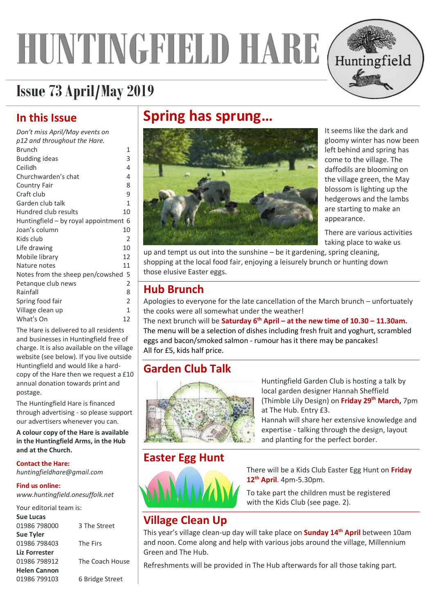# <span id="page-0-2"></span>**HUNTINGFIELD HARE**



### **Issue 73 April/May2019**

### **In this Issue**

| Don't miss April/May events on        |                |
|---------------------------------------|----------------|
| p12 and throughout the Hare.          |                |
| <b>Brunch</b>                         | 1              |
| <b>Budding ideas</b>                  | 3              |
| Ceilidh                               | 4              |
| Churchwarden's chat                   | 4              |
| Country Fair                          | 8              |
| Craft club                            | 9              |
| Garden club talk                      | $\mathbf{1}$   |
| Hundred club results                  | 10             |
| Huntingfield – by royal appointment 6 |                |
| Joan's column                         | 10             |
| Kids club                             | 2              |
| Life drawing                          | 10             |
| Mobile library                        | 12             |
| Nature notes                          | 11             |
| Notes from the sheep pen/cowshed 5    |                |
| Petangue club news                    | 2              |
| Rainfall                              | 8              |
| Spring food fair                      | $\overline{2}$ |
| Village clean up                      | $\mathbf{1}$   |
| What's On                             | 12             |
|                                       |                |

The Hare is delivered to all residents and businesses in Huntingfield free of charge. It is also available on the village website (see below). If you live outside Huntingfield and would like a hardcopy of the Hare then we request a £10 annual donation towards print and postage.

The Huntingfield Hare is financed through advertising - so please support our advertisers whenever you can.

**A colour copy of the Hare is available in the Huntingfield Arms, in the Hub and at the Church.** 

### **Contact the Hare:**

*huntingfieldhare@gmail.com*

#### **Find us online:**

*www.huntingfield.onesuffolk.net*

#### Your editorial team is: **Sue Lucas** 01986 798000 3 The Street **Sue Tyler** 01986 798403 The Firs **Liz Forrester** 01986 798912 The Coach House **Helen Cannon** 01986 799103 6 Bridge Street

### **Spring has sprung…**



It seems like the dark and gloomy winter has now been left behind and spring has come to the village. The daffodils are blooming on the village green, the May blossom is lighting up the hedgerows and the lambs are starting to make an appearance.

There are various activities taking place to wake us

up and tempt us out into the sunshine – be it gardening, spring cleaning, shopping at the local food fair, enjoying a leisurely brunch or hunting down those elusive Easter eggs.

### <span id="page-0-0"></span>**Hub Brunch**

Apologies to everyone for the late cancellation of the March brunch – unfortuately the cooks were all somewhat under the weather!

The next brunch will be **Saturday 6th April – at the new time of 10.30 – 11.30am.**  The menu will be a selection of dishes including fresh fruit and yoghurt, scrambled eggs and bacon/smoked salmon - rumour has it there may be pancakes! All for £5, kids half price.

### **Garden Club Talk**



Huntingfield Garden Club is hosting a talk by local garden designer Hannah Sheffield (Thimble Lily Design) on **Friday 29th March,** 7pm at The Hub. Entry £3.

Hannah will share her extensive knowledge and expertise - talking through the design, layout and planting for the perfect border.

### **Easter Egg Hunt**



There will be a Kids Club Easter Egg Hunt on **Friday 12th April**. 4pm-5.30pm.

To take part the children must be registered with the Kids Club (see page[. 2\)](#page-1-0).

### <span id="page-0-1"></span>**Village Clean Up**

This year's village clean-up day will take place on **Sunday 14th April** between 10am and noon. Come along and help with various jobs around the village, Millennium Green and The Hub.

Refreshments will be provided in The Hub afterwards for all those taking part.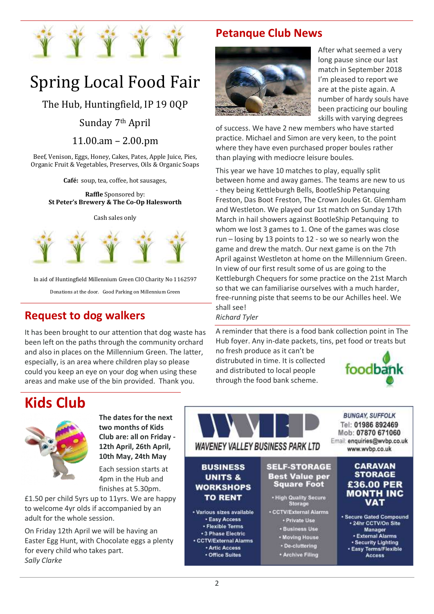<span id="page-1-0"></span>

# Spring Local Food Fair

The Hub, Huntingfield, IP 19 0QP

### Sunday 7th April

11.00.am – 2.00.pm

Beef, Venison, Eggs, Honey, Cakes, Pates, Apple Juice, Pies, Organic Fruit & Vegetables, Preserves, Oils & Organic Soaps

**Café:** soup, tea, coffee, hot sausages,

**Raffle** Sponsored by: **St Peter's Brewery & The Co-Op Halesworth**

#### Cash sales only



In aid of Huntingfield Millennium Green CIO Charity No 1162597

Donations at the door. Good Parking on Millennium Green

### **Request to dog walkers**

It has been brought to our attention that dog waste has been left on the paths through the community orchard and also in places on the Millennium Green. The latter, especially, is an area where children play so please could you keep an eye on your dog when using these areas and make use of the bin provided. Thank you.

### **Petanque Club News**



After what seemed a very long pause since our last match in September 2018 I'm pleased to report we are at the piste again. A number of hardy souls have been practicing our bouling skills with varying degrees

of success. We have 2 new members who have started practice. Michael and Simon are very keen, to the point where they have even purchased proper boules rather than playing with mediocre leisure boules.

This year we have 10 matches to play, equally split between home and away games. The teams are new to us - they being Kettleburgh Bells, BootleShip Petanquing Freston, Das Boot Freston, The Crown Joules Gt. Glemham and Westleton. We played our 1st match on Sunday 17th March in hail showers against BootleShip Petanquing to whom we lost 3 games to 1. One of the games was close run – losing by 13 points to 12 - so we so nearly won the game and drew the match. Our next game is on the 7th April against Westleton at home on the Millennium Green. In view of our first result some of us are going to the Kettleburgh Chequers for some practice on the 21st March so that we can familiarise ourselves with a much harder, free-running piste that seems to be our Achilles heel. We shall see!

*Richard Tyler*

A reminder that there is a food bank collection point in The Hub foyer. Any in-date packets, tins, pet food or treats but

no fresh produce as it can't be distrubuted in time. It is collected and distributed to local people through the food bank scheme.



### **Kids Club**



**The dates for the next two months of Kids Club are: all on Friday - 12th April, 26th April, 10th May, 24th May**

Each session starts at 4pm in the Hub and finishes at 5.30pm.

£1.50 per child 5yrs up to 11yrs. We are happy to welcome 4yr olds if accompanied by an adult for the whole session.

On Friday 12th April we will be having an Easter Egg Hunt, with Chocolate eggs a plenty for every child who takes part. *Sally Clarke*

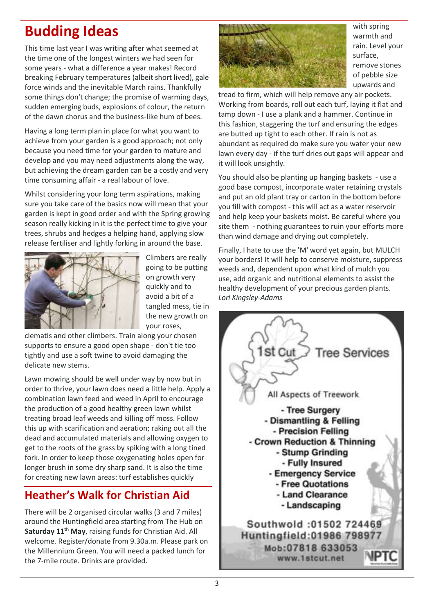This time last year I was writing after what seemed at the time one of the longest winters we had seen for some years - what a difference a year makes! Record breaking February temperatures (albeit short lived), gale force winds and the inevitable March rains. Thankfully some things don't change; the promise of warming days, sudden emerging buds, explosions of colour, the return of the dawn chorus and the business-like hum of bees.

Having a long term plan in place for what you want to achieve from your garden is a good approach; not only because you need time for your garden to mature and develop and you may need adjustments along the way, but achieving the dream garden can be a costly and very time consuming affair - a real labour of love.

Whilst considering your long term aspirations, making sure you take care of the basics now will mean that your garden is kept in good order and with the Spring growing season really kicking in it is the perfect time to give your trees, shrubs and hedges a helping hand, applying slow release fertiliser and lightly forking in around the base.



Climbers are really going to be putting on growth very quickly and to avoid a bit of a tangled mess, tie in the new growth on your roses,

clematis and other climbers. Train along your chosen supports to ensure a good open shape - don't tie too tightly and use a soft twine to avoid damaging the delicate new stems.

Lawn mowing should be well under way by now but in order to thrive, your lawn does need a little help. Apply a combination lawn feed and weed in April to encourage the production of a good healthy green lawn whilst treating broad leaf weeds and killing off moss. Follow this up with scarification and aeration; raking out all the dead and accumulated materials and allowing oxygen to get to the roots of the grass by spiking with a long tined fork. In order to keep those oxygenating holes open for longer brush in some dry sharp sand. It is also the time for creating new lawn areas: turf establishes quickly

### <span id="page-2-0"></span>**Heather's Walk for Christian Aid**

There will be 2 organised circular walks (3 and 7 miles) around the Huntingfield area starting from The Hub on **Saturday 11 th May**, raising funds for Christian Aid. All welcome. Register/donate from 9.30a.m. Please park on the Millennium Green. You will need a packed lunch for the 7-mile route. Drinks are provided.



warmth and rain. Level your surface, remove stones of pebble size upwards and

tread to firm, which will help remove any air pockets. Working from boards, roll out each turf, laying it flat and tamp down - I use a plank and a hammer. Continue in this fashion, staggering the turf and ensuring the edges are butted up tight to each other. If rain is not as abundant as required do make sure you water your new lawn every day - if the turf dries out gaps will appear and it will look unsightly.

You should also be planting up hanging baskets - use a good base compost, incorporate water retaining crystals and put an old plant tray or carton in the bottom before you fill with compost - this will act as a water reservoir and help keep your baskets moist. Be careful where you site them - nothing guarantees to ruin your efforts more than wind damage and drying out completely.

Finally, I hate to use the 'M' word yet again, but MULCH your borders! It will help to conserve moisture, suppress weeds and, dependent upon what kind of mulch you use, add organic and nutritional elements to assist the healthy development of your precious garden plants. *Lori Kingsley-Adams*

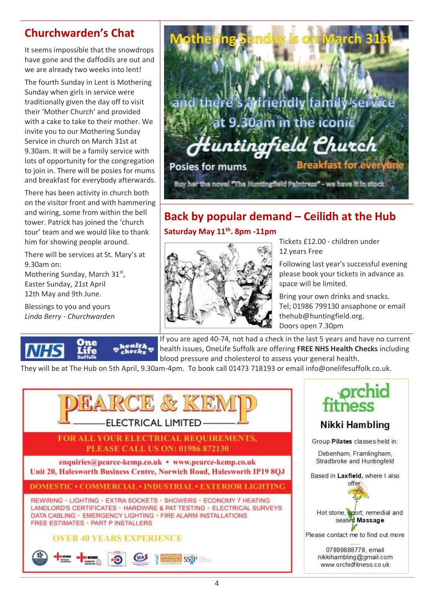### <span id="page-3-1"></span>**Churchwarden's Chat**

It seems impossible that the snowdrops have gone and the daffodils are out and we are already two weeks into lent!

The fourth Sunday in Lent is Mothering Sunday when girls in service were traditionally given the day off to visit their 'Mother Church' and provided with a cake to take to their mother. We invite you to our Mothering Sunday Service in church on March 31st at 9.30am. It will be a family service with lots of opportunity for the congregation to join in. There will be posies for mums and breakfast for everybody afterwards.

There has been activity in church both on the visitor front and with hammering and wiring, some from within the bell tower. Patrick has joined the 'church tour' team and we would like to thank him for showing people around.

There will be services at St. Mary's at 9.30am on: Mothering Sunday, March 31<sup>st</sup>, Easter Sunday, 21st April 12th May and 9th June.

Blessings to you and yours *Linda Berry - Churchwarden*





### <span id="page-3-0"></span>**Back by popular demand – Ceilidh at the Hub Saturday May 11th. 8pm -11pm**



Tickets £12.00 - children under 12 years Free

Following last year's successful evening please book your tickets in advance as space will be limited.

Bring your own drinks and snacks. Tel; 01986 799130 ansaphone or email thehub@huntingfield.org. Doors open 7.30pm

If you are aged 40-74, not had a check in the last 5 years and have no current health issues, OneLife Suffolk are offering **FREE NHS Health Checks** including blood pressure and cholesterol to assess your general health.

They will be at The Hub on 5th April, 9.30am-4pm. To book call 01473 718193 or email info@onelifesuffolk.co.uk.





nikkihambling@gmail.com www.orchidfitness.co.uk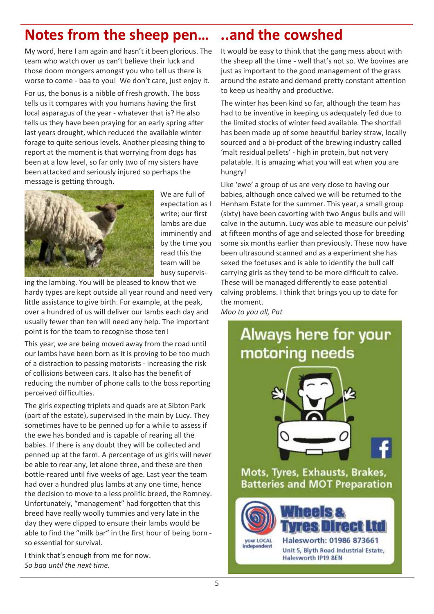### **Notes from the sheep pen… ..and the cowshed**

My word, here I am again and hasn't it been glorious. The team who watch over us can't believe their luck and those doom mongers amongst you who tell us there is worse to come - baa to you! We don't care, just enjoy it.

For us, the bonus is a nibble of fresh growth. The boss tells us it compares with you humans having the first local asparagus of the year - whatever that is? He also tells us they have been praying for an early spring after last years drought, which reduced the available winter forage to quite serious levels. Another pleasing thing to report at the moment is that worrying from dogs has been at a low level, so far only two of my sisters have been attacked and seriously injured so perhaps the message is getting through.



We are full of expectation as I write; our first lambs are due imminently and by the time you read this the team will be busy supervis-

ing the lambing. You will be pleased to know that we hardy types are kept outside all year round and need very little assistance to give birth. For example, at the peak, over a hundred of us will deliver our lambs each day and usually fewer than ten will need any help. The important point is for the team to recognise those ten!

This year, we are being moved away from the road until our lambs have been born as it is proving to be too much of a distraction to passing motorists - increasing the risk of collisions between cars. It also has the benefit of reducing the number of phone calls to the boss reporting perceived difficulties.

The girls expecting triplets and quads are at Sibton Park (part of the estate), supervised in the main by Lucy. They sometimes have to be penned up for a while to assess if the ewe has bonded and is capable of rearing all the babies. If there is any doubt they will be collected and penned up at the farm. A percentage of us girls will never be able to rear any, let alone three, and these are then bottle-reared until five weeks of age. Last year the team had over a hundred plus lambs at any one time, hence the decision to move to a less prolific breed, the Romney. Unfortunately, "management" had forgotten that this breed have really woolly tummies and very late in the day they were clipped to ensure their lambs would be able to find the "milk bar" in the first hour of being born so essential for survival.

I think that's enough from me for now. *So baa until the next time.*

It would be easy to think that the gang mess about with the sheep all the time - well that's not so. We bovines are just as important to the good management of the grass around the estate and demand pretty constant attention to keep us healthy and productive.

The winter has been kind so far, although the team has had to be inventive in keeping us adequately fed due to the limited stocks of winter feed available. The shortfall has been made up of some beautiful barley straw, locally sourced and a bi-product of the brewing industry called 'malt residual pellets' - high in protein, but not very palatable. It is amazing what you will eat when you are hungry!

Like 'ewe' a group of us are very close to having our babies, although once calved we will be returned to the Henham Estate for the summer. This year, a small group (sixty) have been cavorting with two Angus bulls and will calve in the autumn. Lucy was able to measure our pelvis' at fifteen months of age and selected those for breeding some six months earlier than previously. These now have been ultrasound scanned and as a experiment she has sexed the foetuses and is able to identify the bull calf carrying girls as they tend to be more difficult to calve. These will be managed differently to ease potential calving problems. I think that brings you up to date for the moment.

*Moo to you all, Pat*

### Always here for your motoring needs



Mots, Tyres, Exhausts, Brakes, **Batteries and MOT Preparation** 

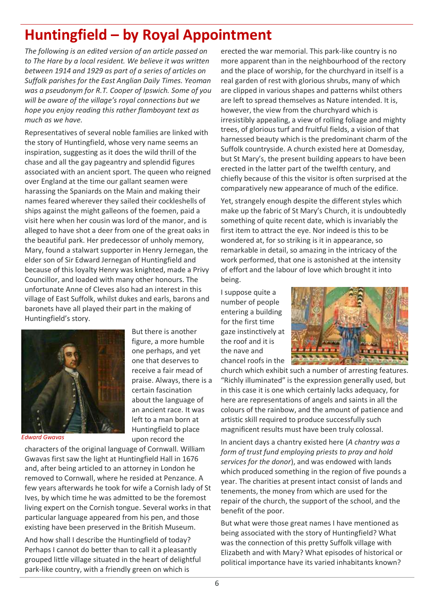### <span id="page-5-0"></span>**Huntingfield – by Royal Appointment**

*The following is an edited version of an article passed on to The Hare by a local resident. We believe it was written between 1914 and 1929 as part of a series of articles on Suffolk parishes for the East Anglian Daily Times. Yeoman was a pseudonym for R.T. Cooper of Ipswich. Some of you will be aware of the village's royal connections but we hope you enjoy reading this rather flamboyant text as much as we have.* 

Representatives of several noble families are linked with the story of Huntingfield, whose very name seems an inspiration, suggesting as it does the wild thrill of the chase and all the gay pageantry and splendid figures associated with an ancient sport. The queen who reigned over England at the time our gallant seamen were harassing the Spaniards on the Main and making their names feared wherever they sailed their cockleshells of ships against the might galleons of the foemen, paid a visit here when her cousin was lord of the manor, and is alleged to have shot a deer from one of the great oaks in the beautiful park. Her predecessor of unholy memory, Mary, found a stalwart supporter in Henry Jernegan, the elder son of Sir Edward Jernegan of Huntingfield and because of this loyalty Henry was knighted, made a Privy Councillor, and loaded with many other honours. The unfortunate Anne of Cleves also had an interest in this village of East Suffolk, whilst dukes and earls, barons and baronets have all played their part in the making of Huntingfield's story.

> But there is another figure, a more humble one perhaps, and yet one that deserves to receive a fair mead of praise. Always, there is a certain fascination about the language of an ancient race. It was left to a man born at Huntingfield to place

![](_page_5_Picture_3.jpeg)

*Edward Gwavas*

upon record the characters of the original language of Cornwall. William Gwavas first saw the light at Huntingfield Hall in 1676 and, after being articled to an attorney in London he removed to Cornwall, where he resided at Penzance. A few years afterwards he took for wife a Cornish lady of St Ives, by which time he was admitted to be the foremost living expert on the Cornish tongue. Several works in that particular language appeared from his pen, and those existing have been preserved in the British Museum.

And how shall I describe the Huntingfield of today? Perhaps I cannot do better than to call it a pleasantly grouped little village situated in the heart of delightful park-like country, with a friendly green on which is

erected the war memorial. This park-like country is no more apparent than in the neighbourhood of the rectory and the place of worship, for the churchyard in itself is a real garden of rest with glorious shrubs, many of which are clipped in various shapes and patterns whilst others are left to spread themselves as Nature intended. It is, however, the view from the churchyard which is irresistibly appealing, a view of rolling foliage and mighty trees, of glorious turf and fruitful fields, a vision of that harnessed beauty which is the predominant charm of the Suffolk countryside. A church existed here at Domesday, but St Mary's, the present building appears to have been erected in the latter part of the twelfth century, and chiefly because of this the visitor is often surprised at the comparatively new appearance of much of the edifice.

Yet, strangely enough despite the different styles which make up the fabric of St Mary's Church, it is undoubtedly something of quite recent date, which is invariably the first item to attract the eye. Nor indeed is this to be wondered at, for so striking is it in appearance, so remarkable in detail, so amazing in the intricacy of the work performed, that one is astonished at the intensity of effort and the labour of love which brought it into being.

I suppose quite a number of people entering a building for the first time gaze instinctively at the roof and it is the nave and chancel roofs in the

![](_page_5_Picture_10.jpeg)

church which exhibit such a number of arresting features. "Richly illuminated" is the expression generally used, but in this case it is one which certainly lacks adequacy, for here are representations of angels and saints in all the colours of the rainbow, and the amount of patience and artistic skill required to produce successfully such magnificent results must have been truly colossal.

In ancient days a chantry existed here (*A chantry was a form of trust fund employing priests to pray and hold services for the donor*), and was endowed with lands which produced something in the region of five pounds a year. The charities at present intact consist of lands and tenements, the money from which are used for the repair of the church, the support of the school, and the benefit of the poor.

But what were those great names I have mentioned as being associated with the story of Huntingfield? What was the connection of this pretty Suffolk village with Elizabeth and with Mary? What episodes of historical or political importance have its varied inhabitants known?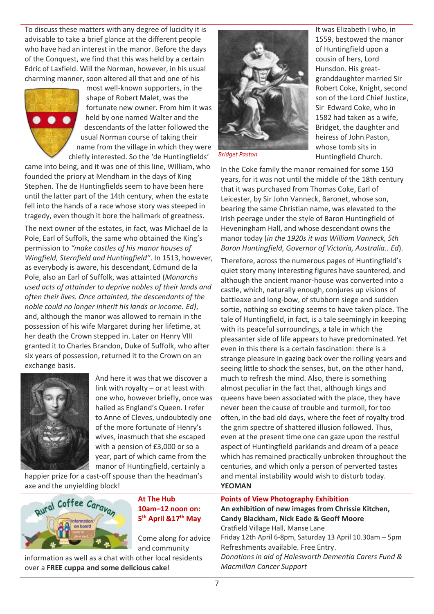To discuss these matters with any degree of lucidity it is advisable to take a brief glance at the different people who have had an interest in the manor. Before the days of the Conquest, we find that this was held by a certain Edric of Laxfield. Will the Norman, however, in his usual charming manner, soon altered all that and one of his

![](_page_6_Picture_1.jpeg)

most well-known supporters, in the shape of Robert Malet, was the fortunate new owner. From him it was held by one named Walter and the descendants of the latter followed the usual Norman course of taking their name from the village in which they were chiefly interested. So the 'de Huntingfields'

came into being, and it was one of this line, William, who founded the priory at Mendham in the days of King Stephen. The de Huntingfields seem to have been here until the latter part of the 14th century, when the estate fell into the hands of a race whose story was steeped in tragedy, even though it bore the hallmark of greatness.

The next owner of the estates, in fact, was Michael de la Pole, Earl of Suffolk, the same who obtained the King's permission to *"make castles of his manor houses of Wingfield, Sternfield and Huntingfield"*. In 1513, however, as everybody is aware, his descendant, Edmund de la Pole, also an Earl of Suffolk, was attainted (*Monarchs used acts of attainder to deprive nobles of their lands and often their lives. Once attainted, the descendants of the noble could no longer inherit his lands or income. Ed)*, and, although the manor was allowed to remain in the possession of his wife Margaret during her lifetime, at her death the Crown stepped in. Later on Henry VIII granted it to Charles Brandon, Duke of Suffolk, who after six years of possession, returned it to the Crown on an exchange basis.

![](_page_6_Picture_5.jpeg)

And here it was that we discover a link with royalty – or at least with one who, however briefly, once was hailed as England's Queen. I refer to Anne of Cleves, undoubtedly one of the more fortunate of Henry's wives, inasmuch that she escaped with a pension of £3,000 or so a year, part of which came from the manor of Huntingfield, certainly a

happier prize for a cast-off spouse than the headman's axe and the unyielding block!

![](_page_6_Picture_8.jpeg)

**At The Hub 10am–12 noon on: 5 th April &17th May**

Come along for advice and community

information as well as a chat with other local residents over a **FREE cuppa and some delicious cake**!

![](_page_6_Picture_12.jpeg)

It was Elizabeth I who, in 1559, bestowed the manor of Huntingfield upon a cousin of hers, Lord Hunsdon. His greatgranddaughter married Sir Robert Coke, Knight, second son of the Lord Chief Justice, Sir Edward Coke, who in 1582 had taken as a wife, Bridget, the daughter and heiress of John Paston, whose tomb sits in Huntingfield Church.

*Bridget Paston*

In the Coke family the manor remained for some 150 years, for it was not until the middle of the 18th century that it was purchased from Thomas Coke, Earl of Leicester, by Sir John Vanneck, Baronet, whose son, bearing the same Christian name, was elevated to the Irish peerage under the style of Baron Huntingfield of Heveningham Hall, and whose descendant owns the manor today (*in the 1920s it was William Vanneck, 5th Baron Huntingfield, Governor of Victoria, Australia.. Ed*).

Therefore, across the numerous pages of Huntingfield's quiet story many interesting figures have sauntered, and although the ancient manor-house was converted into a castle, which, naturally enough, conjures up visions of battleaxe and long-bow, of stubborn siege and sudden sortie, nothing so exciting seems to have taken place. The tale of Huntingfield, in fact, is a tale seemingly in keeping with its peaceful surroundings, a tale in which the pleasanter side of life appears to have predominated. Yet even in this there is a certain fascination: there is a strange pleasure in gazing back over the rolling years and seeing little to shock the senses, but, on the other hand, much to refresh the mind. Also, there is something almost peculiar in the fact that, although kings and queens have been associated with the place, they have never been the cause of trouble and turmoil, for too often, in the bad old days, where the feet of royalty trod the grim spectre of shattered illusion followed. Thus, even at the present time one can gaze upon the restful aspect of Huntingfield parklands and dream of a peace which has remained practically unbroken throughout the centuries, and which only a person of perverted tastes and mental instability would wish to disturb today. **YEOMAN**

<span id="page-6-0"></span>**Points of View Photography Exhibition An exhibition of new images from Chrissie Kitchen, Candy Blackham, Nick Eade & Geoff Moore** Cratfield Village Hall, Manse Lane Friday 12th April 6-8pm, Saturday 13 April 10.30am – 5pm Refreshments available. Free Entry. *Donations in aid of Halesworth Dementia Carers Fund & Macmillan Cancer Support*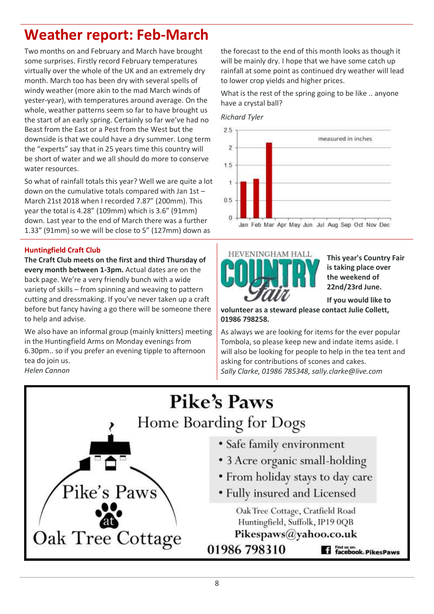### **Weather report: Feb-March**

Two months on and February and March have brought some surprises. Firstly record February temperatures virtually over the whole of the UK and an extremely dry month. March too has been dry with several spells of windy weather (more akin to the mad March winds of yester-year), with temperatures around average. On the whole, weather patterns seem so far to have brought us the start of an early spring. Certainly so far we've had no Beast from the East or a Pest from the West but the downside is that we could have a dry summer. Long term the "experts" say that in 25 years time this country will be short of water and we all should do more to conserve water resources.

So what of rainfall totals this year? Well we are quite a lot down on the cumulative totals compared with Jan 1st – March 21st 2018 when I recorded 7.87" (200mm). This year the total is 4.28" (109mm) which is 3.6" (91mm) down. Last year to the end of March there was a further 1.33" (91mm) so we will be close to 5" (127mm) down as

#### **Huntingfield Craft Club**

**The Craft Club meets on the first and third Thursday of every month between 1-3pm.** Actual dates are on the back page. We're a very friendly bunch with a wide variety of skills – from spinning and weaving to pattern cutting and dressmaking. If you've never taken up a craft before but fancy having a go there will be someone there to help and advise.

We also have an informal group (mainly knitters) meeting in the Huntingfield Arms on Monday evenings from 6.30pm.. so if you prefer an evening tipple to afternoon tea do join us.

*Helen Cannon*

the forecast to the end of this month looks as though it will be mainly dry. I hope that we have some catch up rainfall at some point as continued dry weather will lead to lower crop yields and higher prices.

What is the rest of the spring going to be like .. anyone have a crystal ball?

*Richard Tyler*

![](_page_7_Figure_10.jpeg)

![](_page_7_Picture_11.jpeg)

**This year's Country Fair is taking place over the weekend of 22nd/23rd June.**

**If you would like to** 

**volunteer as a steward please contact Julie Collett, 01986 798258.**

As always we are looking for items for the ever popular Tombola, so please keep new and indate items aside. I will also be looking for people to help in the tea tent and asking for contributions of scones and cakes. *Sally Clarke, 01986 785348, sally.clarke@live.com*

![](_page_7_Figure_16.jpeg)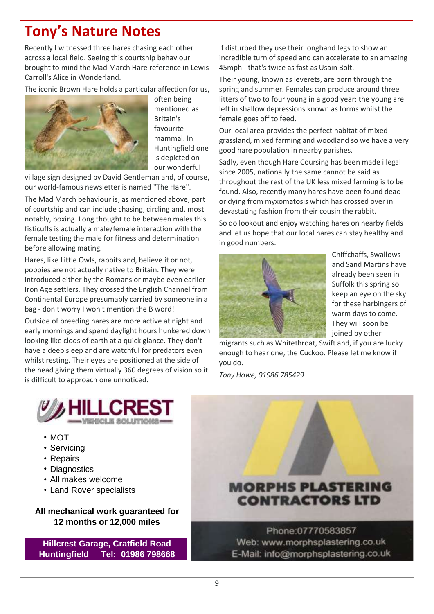### <span id="page-8-0"></span>**Tony's Nature Notes**

Recently I witnessed three hares chasing each other across a local field. Seeing this courtship behaviour brought to mind the Mad March Hare reference in Lewis Carroll's Alice in Wonderland.

The iconic Brown Hare holds a particular affection for us,

![](_page_8_Picture_3.jpeg)

often being mentioned as Britain's favourite mammal. In Huntingfield one is depicted on our wonderful

village sign designed by David Gentleman and, of course, our world-famous newsletter is named "The Hare".

The Mad March behaviour is, as mentioned above, part of courtship and can include chasing, circling and, most notably, boxing. Long thought to be between males this fisticuffs is actually a male/female interaction with the female testing the male for fitness and determination before allowing mating.

Hares, like Little Owls, rabbits and, believe it or not, poppies are not actually native to Britain. They were introduced either by the Romans or maybe even earlier Iron Age settlers. They crossed the English Channel from Continental Europe presumably carried by someone in a bag - don't worry I won't mention the B word!

Outside of breeding hares are more active at night and early mornings and spend daylight hours hunkered down looking like clods of earth at a quick glance. They don't have a deep sleep and are watchful for predators even whilst resting. Their eyes are positioned at the side of the head giving them virtually 360 degrees of vision so it is difficult to approach one unnoticed.

If disturbed they use their longhand legs to show an incredible turn of speed and can accelerate to an amazing 45mph - that's twice as fast as Usain Bolt.

Their young, known as leverets, are born through the spring and summer. Females can produce around three litters of two to four young in a good year: the young are left in shallow depressions known as forms whilst the female goes off to feed.

Our local area provides the perfect habitat of mixed grassland, mixed farming and woodland so we have a very good hare population in nearby parishes.

Sadly, even though Hare Coursing has been made illegal since 2005, nationally the same cannot be said as throughout the rest of the UK less mixed farming is to be found. Also, recently many hares have been found dead or dying from myxomatosis which has crossed over in devastating fashion from their cousin the rabbit.

So do lookout and enjoy watching hares on nearby fields and let us hope that our local hares can stay healthy and in good numbers.

![](_page_8_Picture_14.jpeg)

Chiffchaffs, Swallows and Sand Martins have already been seen in Suffolk this spring so keep an eye on the sky for these harbingers of warm days to come. They will soon be joined by other

migrants such as Whitethroat, Swift and, if you are lucky enough to hear one, the Cuckoo. Please let me know if you do.

*Tony Howe, 01986 785429*

![](_page_8_Picture_18.jpeg)

- MOT
- Servicing
- Repairs
- Diagnostics
- All makes welcome
- Land Rover specialists

#### **All mechanical work guaranteed for 12 months or 12,000 miles**

**Hillcrest Garage, Cratfield Road Huntingfield Tel: 01986 798668**

![](_page_8_Picture_27.jpeg)

Phone:07770583857 Web: www.morphsplastering.co.uk E-Mail: info@morphsplastering.co.uk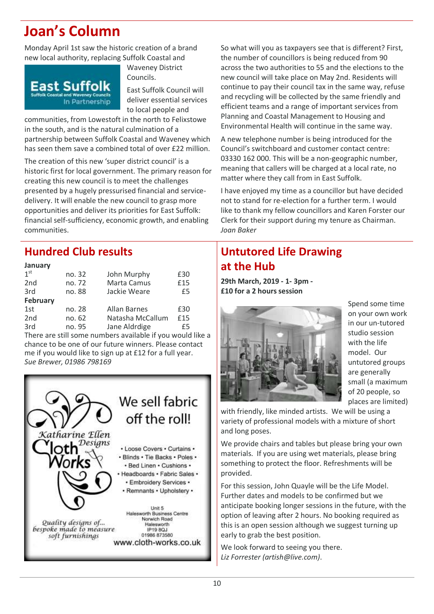### <span id="page-9-1"></span>**Joan's Column**

Monday April 1st saw the historic creation of a brand new local authority, replacing Suffolk Coastal and

![](_page_9_Picture_2.jpeg)

Waveney District Councils.

East Suffolk Council will deliver essential services to local people and

communities, from Lowestoft in the north to Felixstowe in the south, and is the natural culmination of a partnership between Suffolk Coastal and Waveney which has seen them save a combined total of over £22 million.

The creation of this new 'super district council' is a historic first for local government. The primary reason for creating this new council is to meet the challenges presented by a hugely pressurised financial and servicedelivery. It will enable the new council to grasp more opportunities and deliver its priorities for East Suffolk: financial self-sufficiency, economic growth, and enabling communities.

### <span id="page-9-0"></span>**Hundred Club results**

#### **January**

| 1 <sup>st</sup> | no. 32 | John Murphy      | £30 |
|-----------------|--------|------------------|-----|
| 2 <sub>nd</sub> | no. 72 | Marta Camus      | £15 |
| 3rd             | no. 88 | Jackie Weare     | £5  |
| <b>February</b> |        |                  |     |
| 1st             | no. 28 | Allan Barnes     | £30 |
| 2 <sub>nd</sub> | no. 62 | Natasha McCallum | £15 |
| 3rd             | no. 95 | Jane Aldrdige    | £5  |

There are still some numbers available if you would like a chance to be one of our future winners. Please contact me if you would like to sign up at £12 for a full year. *Sue Brewer, 01986 798169*

![](_page_9_Picture_11.jpeg)

So what will you as taxpayers see that is different? First, the number of councillors is being reduced from 90 across the two authorities to 55 and the elections to the new council will take place on May 2nd. Residents will continue to pay their council tax in the same way, refuse and recycling will be collected by the same friendly and efficient teams and a range of important services from Planning and Coastal Management to Housing and Environmental Health will continue in the same way.

A new telephone number is being introduced for the Council's switchboard and customer contact centre: 03330 162 000. This will be a non-geographic number, meaning that callers will be charged at a local rate, no matter where they call from in East Suffolk.

I have enjoyed my time as a councillor but have decided not to stand for re-election for a further term. I would like to thank my fellow councillors and Karen Forster our Clerk for their support during my tenure as Chairman. *Joan Baker*

### <span id="page-9-2"></span>**Untutored Life Drawing at the Hub**

**29th March, 2019 - 1- 3pm - £10 for a 2 hours session**

![](_page_9_Picture_17.jpeg)

Spend some time on your own work in our un-tutored studio session with the life model. Our untutored groups are generally small (a maximum of 20 people, so places are limited)

with friendly, like minded artists. We will be using a variety of professional models with a mixture of short and long poses.

We provide chairs and tables but please bring your own materials. If you are using wet materials, please bring something to protect the floor. Refreshments will be provided.

For this session, John Quayle will be the Life Model. Further dates and models to be confirmed but we anticipate booking longer sessions in the future, with the option of leaving after 2 hours. No booking required as this is an open session although we suggest turning up early to grab the best position.

We look forward to seeing you there. *Liz Forrester (artish@live.com)*.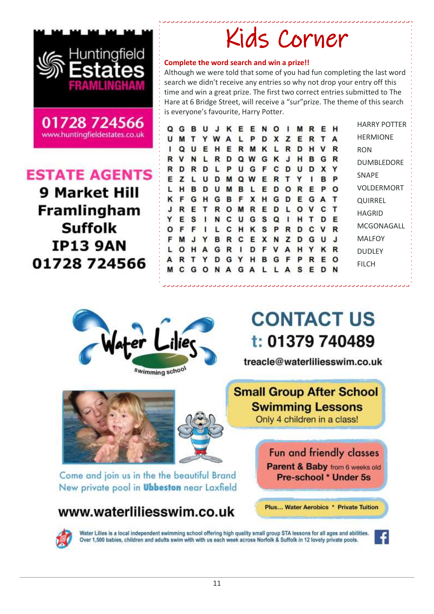![](_page_10_Picture_0.jpeg)

![](_page_10_Picture_1.jpeg)

### **ESTATE AGENTS**

**9 Market Hill** Framlingham **Suffolk IP13 9AN** 01728 724566

| Kids Corner |
|-------------|
|-------------|

#### **Complete the word search and win a prize!!**

Although we were told that some of you had fun completing the last word search we didn't receive any entries so why not drop your entry off this time and win a great prize. The first two correct entries submitted to The Hare at 6 Bridge Street, will receive a "sur"prize. The theme of this search is everyone's favourite, Harry Potter.

|   |  |  |  | Q G B U J K E E N O I M R E H        |  |  |  |  |
|---|--|--|--|--------------------------------------|--|--|--|--|
| u |  |  |  | MTYWALPDXZERTA                       |  |  |  |  |
|   |  |  |  | Q U E H E R M K L R D H V R          |  |  |  |  |
|   |  |  |  | R V N L R D Q W G K J H B G R        |  |  |  |  |
|   |  |  |  | R D R D L P U G F C D U D X Y        |  |  |  |  |
|   |  |  |  | E Z L U D M Q W E R T Y I B P        |  |  |  |  |
|   |  |  |  | L H B D U M B L E D O R E P O        |  |  |  |  |
|   |  |  |  | K F G H G B F X H G D E G A T        |  |  |  |  |
|   |  |  |  | <b>J R E T R O M R E D L O V C T</b> |  |  |  |  |
|   |  |  |  | Y E S I N C U G S Q I H T D E        |  |  |  |  |
|   |  |  |  | O F F I L C H K S P R D C V R        |  |  |  |  |
|   |  |  |  | F M J Y B R C E X N Z D G U J        |  |  |  |  |
|   |  |  |  | O H A G R I D F V A H Y K R          |  |  |  |  |
|   |  |  |  | ARTYDGYHBGFPREO                      |  |  |  |  |
|   |  |  |  | M C G O N A G A L L A S E D N        |  |  |  |  |

HARRY POTTER HERMIONE RON DUMBLEDORE SNAPE VOLDERMORT QUIRREL HAGRID MCGONAGALL MALFOY DUDLEY FILCH

![](_page_10_Picture_9.jpeg)

## **CONTACT US** t: 01379 740489

treacle@waterliliesswim.co.uk

### **Small Group After School Swimming Lessons** Only 4 children in a class!

Fun and friendly classes Parent & Baby from 6 weeks old Pre-school \* Under 5s

Plus... Water Aerobics \* Private Tuition

### www.waterliliesswim.co.uk

Water Lilies is a local independent swimming school offering high quality small group STA lessons for all ages and abilities. Over 1,500 babies, children and adults swim with with us each week across Norfolk & Suffolk in 12 lovely private pools.

![](_page_10_Picture_16.jpeg)

![](_page_10_Picture_17.jpeg)